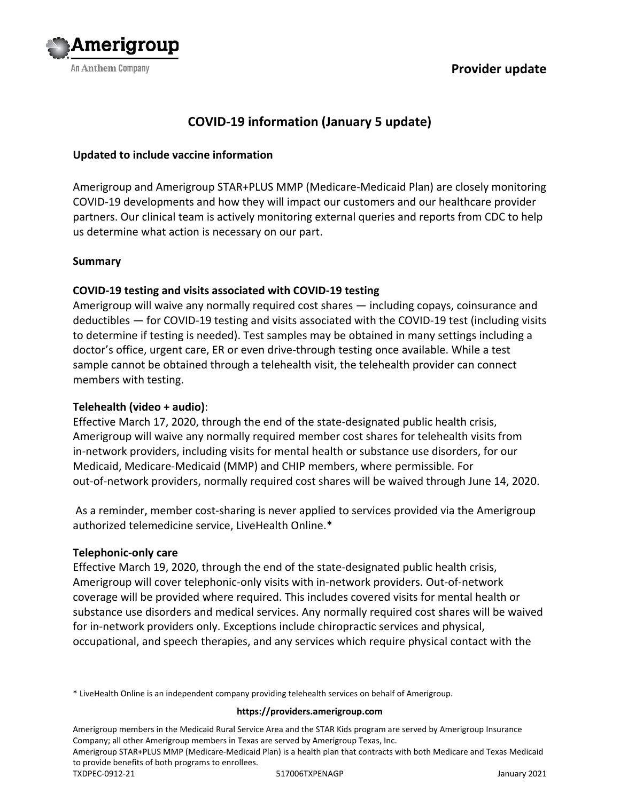



# **COVID-19 information (January 5 update)**

#### **Updated to include vaccine information**

Amerigroup and Amerigroup STAR+PLUS MMP (Medicare-Medicaid Plan) are closely monitoring COVID-19 developments and how they will impact our customers and our healthcare provider partners. Our clinical team is actively monitoring external queries and reports from CDC to help us determine what action is necessary on our part.

#### **Summary**

#### **COVID-19 testing and visits associated with COVID-19 testing**

Amerigroup will waive any normally required cost shares — including copays, coinsurance and deductibles — for COVID-19 testing and visits associated with the COVID-19 test (including visits to determine if testing is needed). Test samples may be obtained in many settings including a doctor's office, urgent care, ER or even drive-through testing once available. While a test sample cannot be obtained through a telehealth visit, the telehealth provider can connect members with testing.

### **Telehealth (video + audio)**:

Effective March 17, 2020, through the end of the state-designated public health crisis, Amerigroup will waive any normally required member cost shares for telehealth visits from in-network providers, including visits for mental health or substance use disorders, for our Medicaid, Medicare-Medicaid (MMP) and CHIP members, where permissible. For out-of-network providers, normally required cost shares will be waived through June 14, 2020.

As a reminder, member cost-sharing is never applied to services provided via the Amerigroup authorized telemedicine service, LiveHealth Online.\*

#### **Telephonic-only care**

Effective March 19, 2020, through the end of the state-designated public health crisis, Amerigroup will cover telephonic-only visits with in-network providers. Out-of-network coverage will be provided where required. This includes covered visits for mental health or substance use disorders and medical services. Any normally required cost shares will be waived for in-network providers only. Exceptions include chiropractic services and physical, occupational, and speech therapies, and any services which require physical contact with the

\* LiveHealth Online is an independent company providing telehealth services on behalf of Amerigroup.

#### **https://providers.amerigroup.com**

Amerigroup members in the Medicaid Rural Service Area and the STAR Kids program are served by Amerigroup Insurance Company; all other Amerigroup members in Texas are served by Amerigroup Texas, Inc.

Amerigroup STAR+PLUS MMP (Medicare-Medicaid Plan) is a health plan that contracts with both Medicare and Texas Medicaid to provide benefits of both programs to enrollees.

TXDPEC-0912-21 517006TXPENAGP January 2021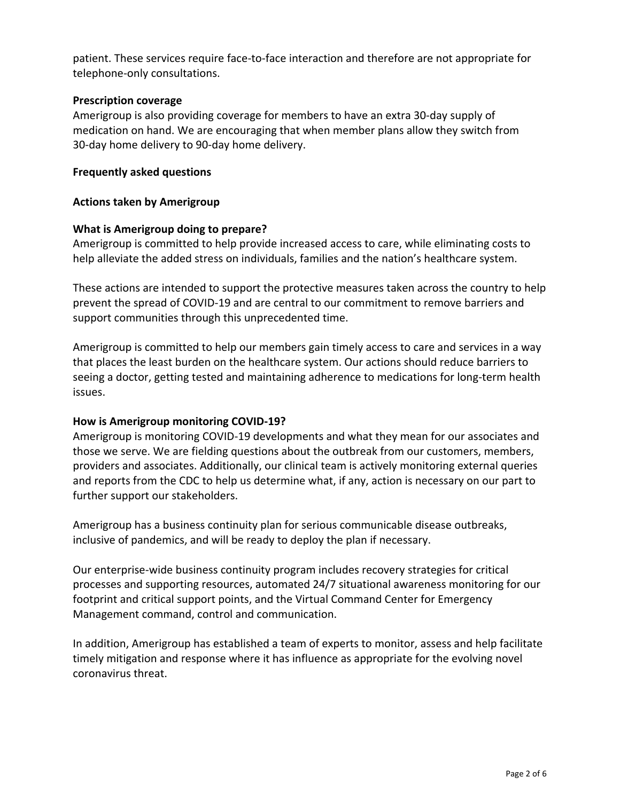patient. These services require face-to-face interaction and therefore are not appropriate for telephone-only consultations.

#### **Prescription coverage**

Amerigroup is also providing coverage for members to have an extra 30-day supply of medication on hand. We are encouraging that when member plans allow they switch from 30-day home delivery to 90-day home delivery.

#### **Frequently asked questions**

#### **Actions taken by Amerigroup**

#### **What is Amerigroup doing to prepare?**

Amerigroup is committed to help provide increased access to care, while eliminating costs to help alleviate the added stress on individuals, families and the nation's healthcare system.

These actions are intended to support the protective measures taken across the country to help prevent the spread of COVID-19 and are central to our commitment to remove barriers and support communities through this unprecedented time.

Amerigroup is committed to help our members gain timely access to care and services in a way that places the least burden on the healthcare system. Our actions should reduce barriers to seeing a doctor, getting tested and maintaining adherence to medications for long-term health issues.

#### **How is Amerigroup monitoring COVID-19?**

Amerigroup is monitoring COVID-19 developments and what they mean for our associates and those we serve. We are fielding questions about the outbreak from our customers, members, providers and associates. Additionally, our clinical team is actively monitoring external queries and reports from the CDC to help us determine what, if any, action is necessary on our part to further support our stakeholders.

Amerigroup has a business continuity plan for serious communicable disease outbreaks, inclusive of pandemics, and will be ready to deploy the plan if necessary.

Our enterprise-wide business continuity program includes recovery strategies for critical processes and supporting resources, automated 24/7 situational awareness monitoring for our footprint and critical support points, and the Virtual Command Center for Emergency Management command, control and communication.

In addition, Amerigroup has established a team of experts to monitor, assess and help facilitate timely mitigation and response where it has influence as appropriate for the evolving novel coronavirus threat.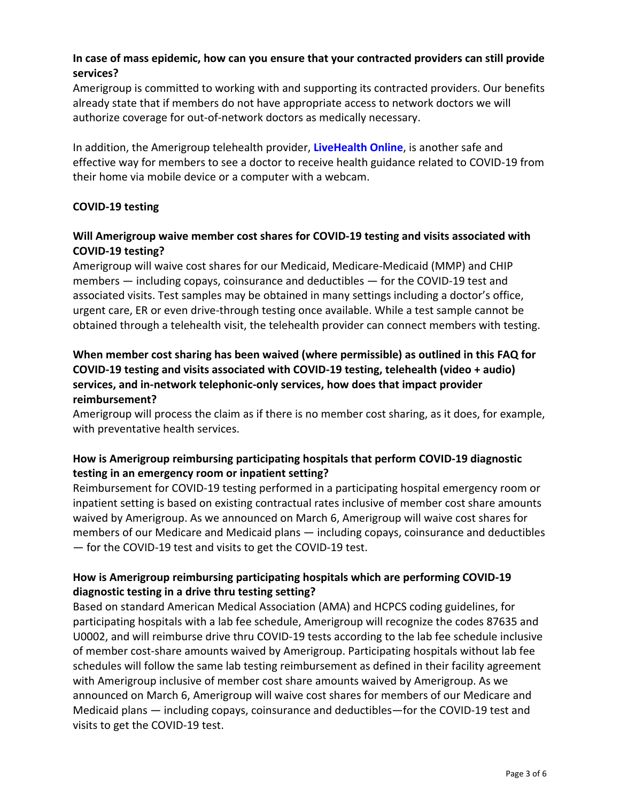# **In case of mass epidemic, how can you ensure that your contracted providers can still provide services?**

Amerigroup is committed to working with and supporting its contracted providers. Our benefits already state that if members do not have appropriate access to network doctors we will authorize coverage for out-of-network doctors as medically necessary.

In addition, the Amerigroup telehealth provider, **[LiveHealth Online](http://www.livehealthonline.com/)**, is another safe and effective way for members to see a doctor to receive health guidance related to COVID-19 from their home via mobile device or a computer with a webcam.

### **COVID-19 testing**

### **Will Amerigroup waive member cost shares for COVID-19 testing and visits associated with COVID-19 testing?**

Amerigroup will waive cost shares for our Medicaid, Medicare-Medicaid (MMP) and CHIP members — including copays, coinsurance and deductibles — for the COVID-19 test and associated visits. Test samples may be obtained in many settings including a doctor's office, urgent care, ER or even drive-through testing once available. While a test sample cannot be obtained through a telehealth visit, the telehealth provider can connect members with testing.

# **When member cost sharing has been waived (where permissible) as outlined in this FAQ for COVID-19 testing and visits associated with COVID-19 testing, telehealth (video + audio) services, and in-network telephonic-only services, how does that impact provider reimbursement?**

Amerigroup will process the claim as if there is no member cost sharing, as it does, for example, with preventative health services.

# **How is Amerigroup reimbursing participating hospitals that perform COVID-19 diagnostic testing in an emergency room or inpatient setting?**

Reimbursement for COVID-19 testing performed in a participating hospital emergency room or inpatient setting is based on existing contractual rates inclusive of member cost share amounts waived by Amerigroup. As we announced on March 6, Amerigroup will waive cost shares for members of our Medicare and Medicaid plans — including copays, coinsurance and deductibles — for the COVID-19 test and visits to get the COVID-19 test.

# **How is Amerigroup reimbursing participating hospitals which are performing COVID-19 diagnostic testing in a drive thru testing setting?**

Based on standard American Medical Association (AMA) and HCPCS coding guidelines, for participating hospitals with a lab fee schedule, Amerigroup will recognize the codes 87635 and U0002, and will reimburse drive thru COVID-19 tests according to the lab fee schedule inclusive of member cost-share amounts waived by Amerigroup. Participating hospitals without lab fee schedules will follow the same lab testing reimbursement as defined in their facility agreement with Amerigroup inclusive of member cost share amounts waived by Amerigroup. As we announced on March 6, Amerigroup will waive cost shares for members of our Medicare and Medicaid plans — including copays, coinsurance and deductibles—for the COVID-19 test and visits to get the COVID-19 test.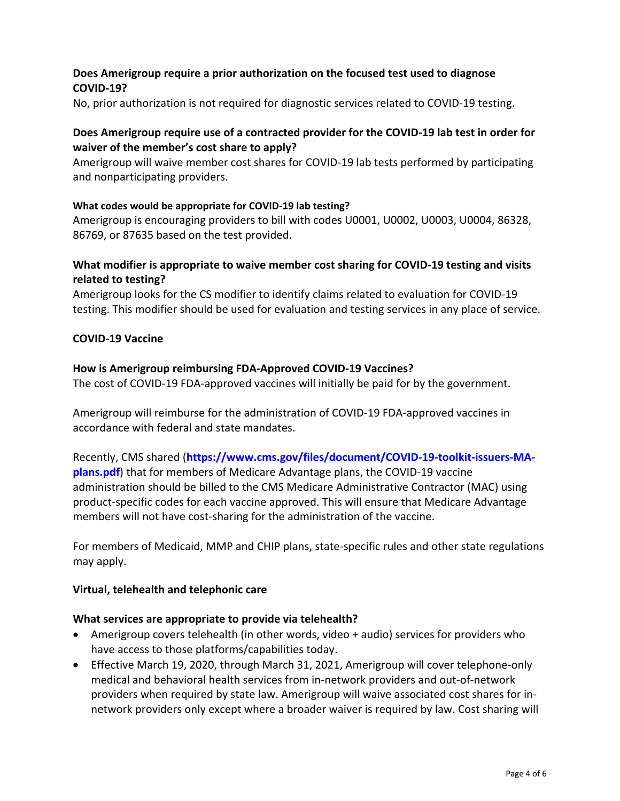### **Does Amerigroup require a prior authorization on the focused test used to diagnose COVID-19?**

No, prior authorization is not required for diagnostic services related to COVID-19 testing.

### **Does Amerigroup require use of a contracted provider for the COVID-19 lab test in order for waiver of the member's cost share to apply?**

Amerigroup will waive member cost shares for COVID-19 lab tests performed by participating and nonparticipating providers.

### **What codes would be appropriate for COVID-19 lab testing?**

Amerigroup is encouraging providers to bill with codes U0001, U0002, U0003, U0004, 86328, 86769, or 87635 based on the test provided.

# **What modifier is appropriate to waive member cost sharing for COVID-19 testing and visits related to testing?**

Amerigroup looks for the CS modifier to identify claims related to evaluation for COVID-19 testing. This modifier should be used for evaluation and testing services in any place of service.

### **COVID-19 Vaccine**

### **How is Amerigroup reimbursing FDA-Approved COVID-19 Vaccines?**

The cost of COVID-19 FDA-approved vaccines will initially be paid for by the government.

Amerigroup will reimburse for the administration of COVID-19 FDA-approved vaccines in accordance with federal and state mandates.

Recently, CMS shared (**[https://www.cms.gov/files/document/COVID-19-toolkit-issuers-MA](https://www.cms.gov/files/document/COVID-19-toolkit-issuers-MA-plans.pdf)[plans.pdf](https://www.cms.gov/files/document/COVID-19-toolkit-issuers-MA-plans.pdf)**) that for members of Medicare Advantage plans, the COVID-19 vaccine administration should be billed to the CMS Medicare Administrative Contractor (MAC) using product-specific codes for each vaccine approved. This will ensure that Medicare Advantage members will not have cost-sharing for the administration of the vaccine.

For members of Medicaid, MMP and CHIP plans, state-specific rules and other state regulations may apply.

### **Virtual, telehealth and telephonic care**

### **What services are appropriate to provide via telehealth?**

- Amerigroup covers telehealth (in other words, video + audio) services for providers who have access to those platforms/capabilities today.
- Effective March 19, 2020, through March 31, 2021, Amerigroup will cover telephone-only medical and behavioral health services from in-network providers and out-of-network providers when required by state law. Amerigroup will waive associated cost shares for innetwork providers only except where a broader waiver is required by law. Cost sharing will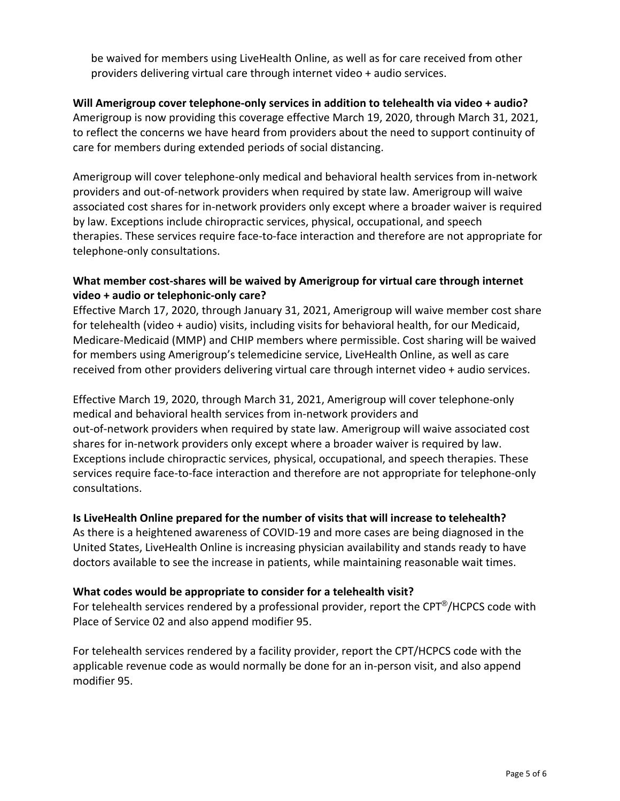be waived for members using LiveHealth Online, as well as for care received from other providers delivering virtual care through internet video + audio services.

# **Will Amerigroup cover telephone-only services in addition to telehealth via video + audio?** Amerigroup is now providing this coverage effective March 19, 2020, through March 31, 2021, to reflect the concerns we have heard from providers about the need to support continuity of care for members during extended periods of social distancing.

Amerigroup will cover telephone-only medical and behavioral health services from in-network providers and out-of-network providers when required by state law. Amerigroup will waive associated cost shares for in-network providers only except where a broader waiver is required by law. Exceptions include chiropractic services, physical, occupational, and speech therapies. These services require face-to-face interaction and therefore are not appropriate for telephone-only consultations.

# **What member cost-shares will be waived by Amerigroup for virtual care through internet video + audio or telephonic-only care?**

Effective March 17, 2020, through January 31, 2021, Amerigroup will waive member cost share for telehealth (video + audio) visits, including visits for behavioral health, for our Medicaid, Medicare-Medicaid (MMP) and CHIP members where permissible. Cost sharing will be waived for members using Amerigroup's telemedicine service, LiveHealth Online, as well as care received from other providers delivering virtual care through internet video + audio services.

Effective March 19, 2020, through March 31, 2021, Amerigroup will cover telephone-only medical and behavioral health services from in-network providers and out-of-network providers when required by state law. Amerigroup will waive associated cost shares for in-network providers only except where a broader waiver is required by law. Exceptions include chiropractic services, physical, occupational, and speech therapies. These services require face-to-face interaction and therefore are not appropriate for telephone-only consultations.

# **Is LiveHealth Online prepared for the number of visits that will increase to telehealth?**

As there is a heightened awareness of COVID-19 and more cases are being diagnosed in the United States, LiveHealth Online is increasing physician availability and stands ready to have doctors available to see the increase in patients, while maintaining reasonable wait times.

# **What codes would be appropriate to consider for a telehealth visit?**

For telehealth services rendered by a professional provider, report the CPT®/HCPCS code with Place of Service 02 and also append modifier 95.

For telehealth services rendered by a facility provider, report the CPT/HCPCS code with the applicable revenue code as would normally be done for an in-person visit, and also append modifier 95.